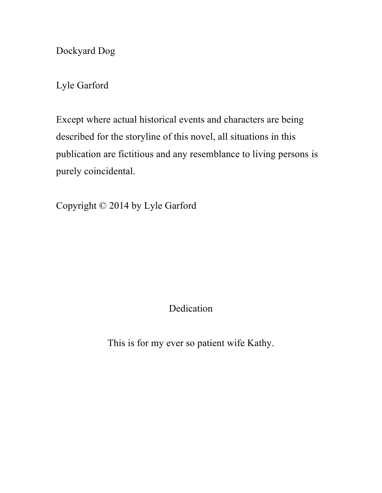Dockyard Dog

Lyle Garford

Except where actual historical events and characters are being described for the storyline of this novel, all situations in this publication are fictitious and any resemblance to living persons is purely coincidental.

Copyright © 2014 by Lyle Garford

Dedication

This is for my ever so patient wife Kathy.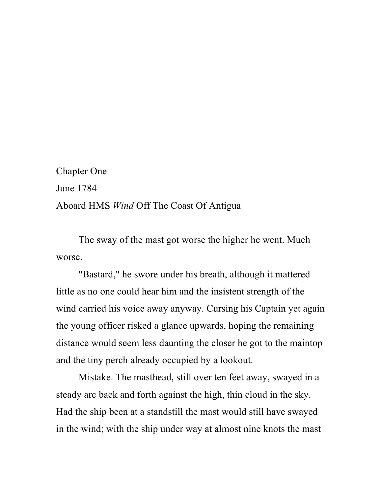Chapter One June 1784 Aboard HMS *Wind* Off The Coast Of Antigua

The sway of the mast got worse the higher he went. Much worse.

"Bastard," he swore under his breath, although it mattered little as no one could hear him and the insistent strength of the wind carried his voice away anyway. Cursing his Captain yet again the young officer risked a glance upwards, hoping the remaining distance would seem less daunting the closer he got to the maintop and the tiny perch already occupied by a lookout.

Mistake. The masthead, still over ten feet away, swayed in a steady arc back and forth against the high, thin cloud in the sky. Had the ship been at a standstill the mast would still have swayed in the wind; with the ship under way at almost nine knots the mast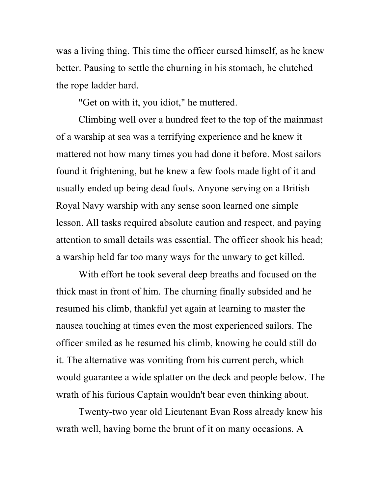was a living thing. This time the officer cursed himself, as he knew better. Pausing to settle the churning in his stomach, he clutched the rope ladder hard.

"Get on with it, you idiot," he muttered.

Climbing well over a hundred feet to the top of the mainmast of a warship at sea was a terrifying experience and he knew it mattered not how many times you had done it before. Most sailors found it frightening, but he knew a few fools made light of it and usually ended up being dead fools. Anyone serving on a British Royal Navy warship with any sense soon learned one simple lesson. All tasks required absolute caution and respect, and paying attention to small details was essential. The officer shook his head; a warship held far too many ways for the unwary to get killed.

With effort he took several deep breaths and focused on the thick mast in front of him. The churning finally subsided and he resumed his climb, thankful yet again at learning to master the nausea touching at times even the most experienced sailors. The officer smiled as he resumed his climb, knowing he could still do it. The alternative was vomiting from his current perch, which would guarantee a wide splatter on the deck and people below. The wrath of his furious Captain wouldn't bear even thinking about.

Twenty-two year old Lieutenant Evan Ross already knew his wrath well, having borne the brunt of it on many occasions. A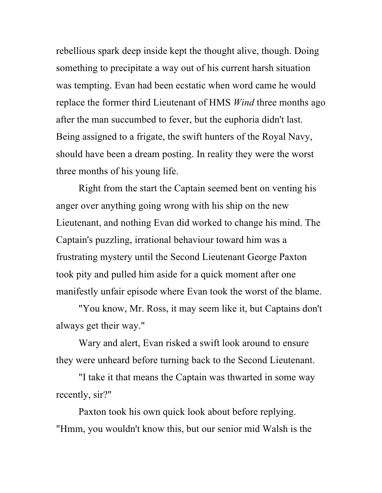rebellious spark deep inside kept the thought alive, though. Doing something to precipitate a way out of his current harsh situation was tempting. Evan had been ecstatic when word came he would replace the former third Lieutenant of HMS *Wind* three months ago after the man succumbed to fever, but the euphoria didn't last. Being assigned to a frigate, the swift hunters of the Royal Navy, should have been a dream posting. In reality they were the worst three months of his young life.

Right from the start the Captain seemed bent on venting his anger over anything going wrong with his ship on the new Lieutenant, and nothing Evan did worked to change his mind. The Captain's puzzling, irrational behaviour toward him was a frustrating mystery until the Second Lieutenant George Paxton took pity and pulled him aside for a quick moment after one manifestly unfair episode where Evan took the worst of the blame.

"You know, Mr. Ross, it may seem like it, but Captains don't always get their way."

Wary and alert, Evan risked a swift look around to ensure they were unheard before turning back to the Second Lieutenant.

"I take it that means the Captain was thwarted in some way recently, sir?"

Paxton took his own quick look about before replying. "Hmm, you wouldn't know this, but our senior mid Walsh is the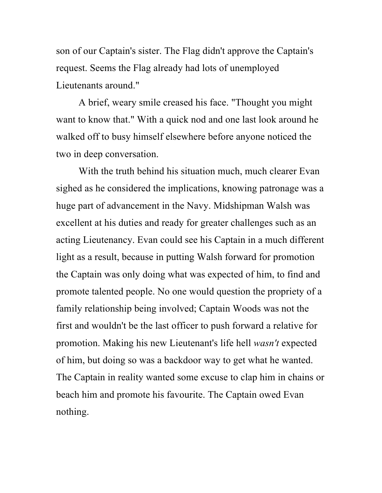son of our Captain's sister. The Flag didn't approve the Captain's request. Seems the Flag already had lots of unemployed Lieutenants around."

A brief, weary smile creased his face. "Thought you might want to know that." With a quick nod and one last look around he walked off to busy himself elsewhere before anyone noticed the two in deep conversation.

With the truth behind his situation much, much clearer Evan sighed as he considered the implications, knowing patronage was a huge part of advancement in the Navy. Midshipman Walsh was excellent at his duties and ready for greater challenges such as an acting Lieutenancy. Evan could see his Captain in a much different light as a result, because in putting Walsh forward for promotion the Captain was only doing what was expected of him, to find and promote talented people. No one would question the propriety of a family relationship being involved; Captain Woods was not the first and wouldn't be the last officer to push forward a relative for promotion. Making his new Lieutenant's life hell *wasn't* expected of him, but doing so was a backdoor way to get what he wanted. The Captain in reality wanted some excuse to clap him in chains or beach him and promote his favourite. The Captain owed Evan nothing.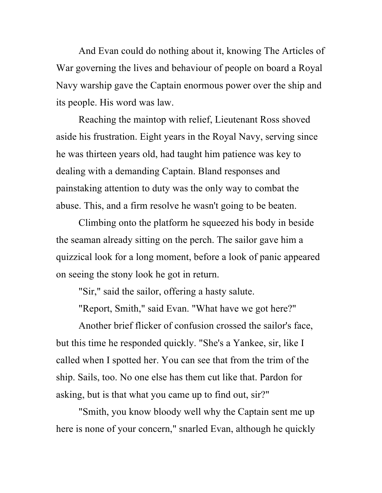And Evan could do nothing about it, knowing The Articles of War governing the lives and behaviour of people on board a Royal Navy warship gave the Captain enormous power over the ship and its people. His word was law.

Reaching the maintop with relief, Lieutenant Ross shoved aside his frustration. Eight years in the Royal Navy, serving since he was thirteen years old, had taught him patience was key to dealing with a demanding Captain. Bland responses and painstaking attention to duty was the only way to combat the abuse. This, and a firm resolve he wasn't going to be beaten.

Climbing onto the platform he squeezed his body in beside the seaman already sitting on the perch. The sailor gave him a quizzical look for a long moment, before a look of panic appeared on seeing the stony look he got in return.

"Sir," said the sailor, offering a hasty salute.

"Report, Smith," said Evan. "What have we got here?"

Another brief flicker of confusion crossed the sailor's face, but this time he responded quickly. "She's a Yankee, sir, like I called when I spotted her. You can see that from the trim of the ship. Sails, too. No one else has them cut like that. Pardon for asking, but is that what you came up to find out, sir?"

"Smith, you know bloody well why the Captain sent me up here is none of your concern," snarled Evan, although he quickly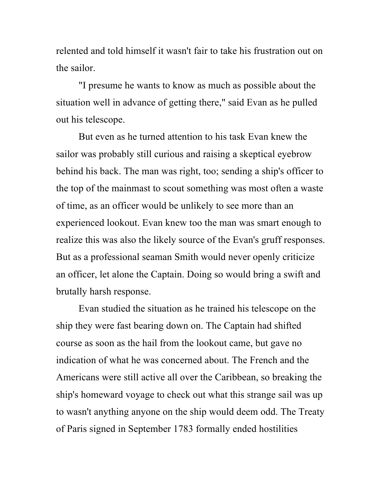relented and told himself it wasn't fair to take his frustration out on the sailor.

"I presume he wants to know as much as possible about the situation well in advance of getting there," said Evan as he pulled out his telescope.

But even as he turned attention to his task Evan knew the sailor was probably still curious and raising a skeptical eyebrow behind his back. The man was right, too; sending a ship's officer to the top of the mainmast to scout something was most often a waste of time, as an officer would be unlikely to see more than an experienced lookout. Evan knew too the man was smart enough to realize this was also the likely source of the Evan's gruff responses. But as a professional seaman Smith would never openly criticize an officer, let alone the Captain. Doing so would bring a swift and brutally harsh response.

Evan studied the situation as he trained his telescope on the ship they were fast bearing down on. The Captain had shifted course as soon as the hail from the lookout came, but gave no indication of what he was concerned about. The French and the Americans were still active all over the Caribbean, so breaking the ship's homeward voyage to check out what this strange sail was up to wasn't anything anyone on the ship would deem odd. The Treaty of Paris signed in September 1783 formally ended hostilities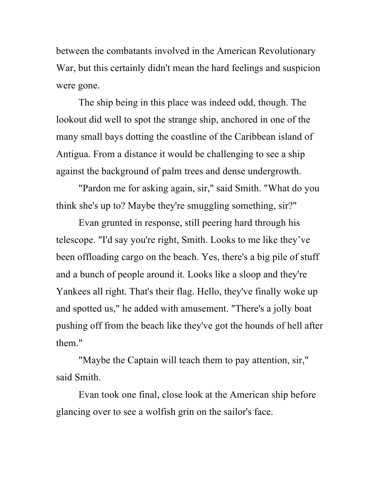between the combatants involved in the American Revolutionary War, but this certainly didn't mean the hard feelings and suspicion were gone.

The ship being in this place was indeed odd, though. The lookout did well to spot the strange ship, anchored in one of the many small bays dotting the coastline of the Caribbean island of Antigua. From a distance it would be challenging to see a ship against the background of palm trees and dense undergrowth.

"Pardon me for asking again, sir," said Smith. "What do you think she's up to? Maybe they're smuggling something, sir?"

Evan grunted in response, still peering hard through his telescope. "I'd say you're right, Smith. Looks to me like they've been offloading cargo on the beach. Yes, there's a big pile of stuff and a bunch of people around it. Looks like a sloop and they're Yankees all right. That's their flag. Hello, they've finally woke up and spotted us," he added with amusement. "There's a jolly boat pushing off from the beach like they've got the hounds of hell after them"

"Maybe the Captain will teach them to pay attention, sir," said Smith.

Evan took one final, close look at the American ship before glancing over to see a wolfish grin on the sailor's face.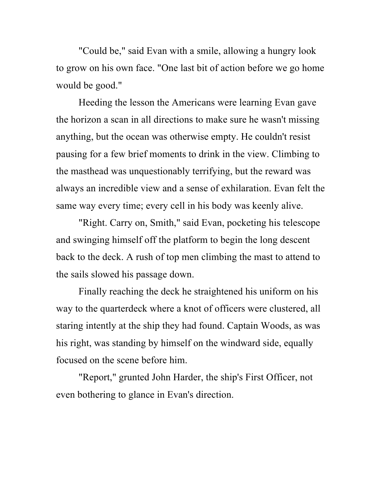"Could be," said Evan with a smile, allowing a hungry look to grow on his own face. "One last bit of action before we go home would be good."

Heeding the lesson the Americans were learning Evan gave the horizon a scan in all directions to make sure he wasn't missing anything, but the ocean was otherwise empty. He couldn't resist pausing for a few brief moments to drink in the view. Climbing to the masthead was unquestionably terrifying, but the reward was always an incredible view and a sense of exhilaration. Evan felt the same way every time; every cell in his body was keenly alive.

"Right. Carry on, Smith," said Evan, pocketing his telescope and swinging himself off the platform to begin the long descent back to the deck. A rush of top men climbing the mast to attend to the sails slowed his passage down.

Finally reaching the deck he straightened his uniform on his way to the quarterdeck where a knot of officers were clustered, all staring intently at the ship they had found. Captain Woods, as was his right, was standing by himself on the windward side, equally focused on the scene before him.

"Report," grunted John Harder, the ship's First Officer, not even bothering to glance in Evan's direction.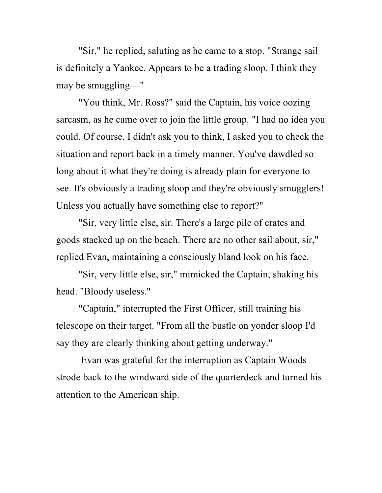"Sir," he replied, saluting as he came to a stop. "Strange sail is definitely a Yankee. Appears to be a trading sloop. I think they may be smuggling—"

"You think, Mr. Ross?" said the Captain, his voice oozing sarcasm, as he came over to join the little group. "I had no idea you could. Of course, I didn't ask you to think, I asked you to check the situation and report back in a timely manner. You've dawdled so long about it what they're doing is already plain for everyone to see. It's obviously a trading sloop and they're obviously smugglers! Unless you actually have something else to report?"

"Sir, very little else, sir. There's a large pile of crates and goods stacked up on the beach. There are no other sail about, sir," replied Evan, maintaining a consciously bland look on his face.

"Sir, very little else, sir," mimicked the Captain, shaking his head. "Bloody useless."

"Captain," interrupted the First Officer, still training his telescope on their target. "From all the bustle on yonder sloop I'd say they are clearly thinking about getting underway."

Evan was grateful for the interruption as Captain Woods strode back to the windward side of the quarterdeck and turned his attention to the American ship.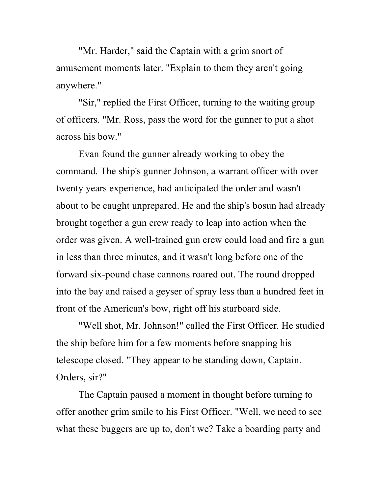"Mr. Harder," said the Captain with a grim snort of amusement moments later. "Explain to them they aren't going anywhere."

"Sir," replied the First Officer, turning to the waiting group of officers. "Mr. Ross, pass the word for the gunner to put a shot across his bow."

Evan found the gunner already working to obey the command. The ship's gunner Johnson, a warrant officer with over twenty years experience, had anticipated the order and wasn't about to be caught unprepared. He and the ship's bosun had already brought together a gun crew ready to leap into action when the order was given. A well-trained gun crew could load and fire a gun in less than three minutes, and it wasn't long before one of the forward six-pound chase cannons roared out. The round dropped into the bay and raised a geyser of spray less than a hundred feet in front of the American's bow, right off his starboard side.

"Well shot, Mr. Johnson!" called the First Officer. He studied the ship before him for a few moments before snapping his telescope closed. "They appear to be standing down, Captain. Orders, sir?"

The Captain paused a moment in thought before turning to offer another grim smile to his First Officer. "Well, we need to see what these buggers are up to, don't we? Take a boarding party and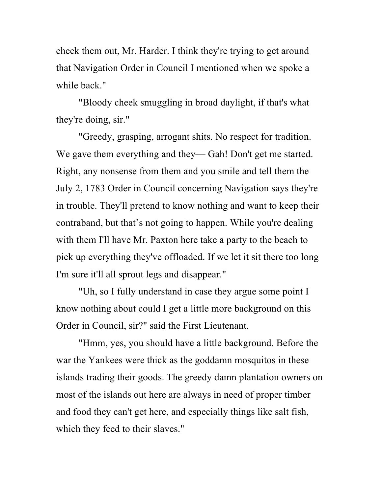check them out, Mr. Harder. I think they're trying to get around that Navigation Order in Council I mentioned when we spoke a while back."

"Bloody cheek smuggling in broad daylight, if that's what they're doing, sir."

"Greedy, grasping, arrogant shits. No respect for tradition. We gave them everything and they— Gah! Don't get me started. Right, any nonsense from them and you smile and tell them the July 2, 1783 Order in Council concerning Navigation says they're in trouble. They'll pretend to know nothing and want to keep their contraband, but that's not going to happen. While you're dealing with them I'll have Mr. Paxton here take a party to the beach to pick up everything they've offloaded. If we let it sit there too long I'm sure it'll all sprout legs and disappear."

"Uh, so I fully understand in case they argue some point I know nothing about could I get a little more background on this Order in Council, sir?" said the First Lieutenant.

"Hmm, yes, you should have a little background. Before the war the Yankees were thick as the goddamn mosquitos in these islands trading their goods. The greedy damn plantation owners on most of the islands out here are always in need of proper timber and food they can't get here, and especially things like salt fish, which they feed to their slaves."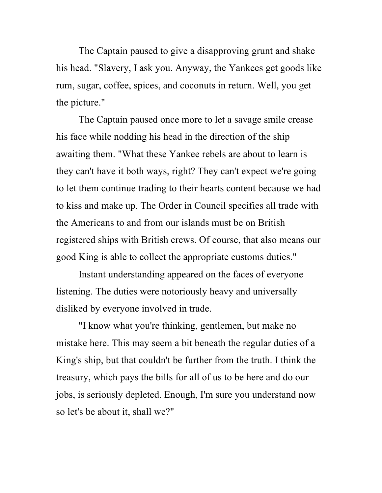The Captain paused to give a disapproving grunt and shake his head. "Slavery, I ask you. Anyway, the Yankees get goods like rum, sugar, coffee, spices, and coconuts in return. Well, you get the picture."

The Captain paused once more to let a savage smile crease his face while nodding his head in the direction of the ship awaiting them. "What these Yankee rebels are about to learn is they can't have it both ways, right? They can't expect we're going to let them continue trading to their hearts content because we had to kiss and make up. The Order in Council specifies all trade with the Americans to and from our islands must be on British registered ships with British crews. Of course, that also means our good King is able to collect the appropriate customs duties."

Instant understanding appeared on the faces of everyone listening. The duties were notoriously heavy and universally disliked by everyone involved in trade.

"I know what you're thinking, gentlemen, but make no mistake here. This may seem a bit beneath the regular duties of a King's ship, but that couldn't be further from the truth. I think the treasury, which pays the bills for all of us to be here and do our jobs, is seriously depleted. Enough, I'm sure you understand now so let's be about it, shall we?"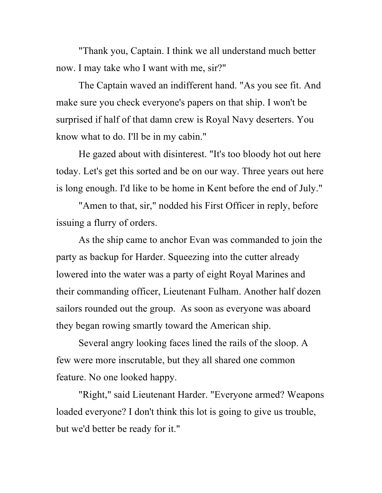"Thank you, Captain. I think we all understand much better now. I may take who I want with me, sir?"

The Captain waved an indifferent hand. "As you see fit. And make sure you check everyone's papers on that ship. I won't be surprised if half of that damn crew is Royal Navy deserters. You know what to do. I'll be in my cabin."

He gazed about with disinterest. "It's too bloody hot out here today. Let's get this sorted and be on our way. Three years out here is long enough. I'd like to be home in Kent before the end of July."

"Amen to that, sir," nodded his First Officer in reply, before issuing a flurry of orders.

As the ship came to anchor Evan was commanded to join the party as backup for Harder. Squeezing into the cutter already lowered into the water was a party of eight Royal Marines and their commanding officer, Lieutenant Fulham. Another half dozen sailors rounded out the group. As soon as everyone was aboard they began rowing smartly toward the American ship.

Several angry looking faces lined the rails of the sloop. A few were more inscrutable, but they all shared one common feature. No one looked happy.

"Right," said Lieutenant Harder. "Everyone armed? Weapons loaded everyone? I don't think this lot is going to give us trouble, but we'd better be ready for it."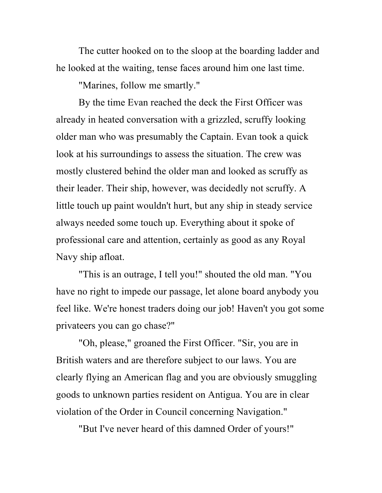The cutter hooked on to the sloop at the boarding ladder and he looked at the waiting, tense faces around him one last time.

"Marines, follow me smartly."

By the time Evan reached the deck the First Officer was already in heated conversation with a grizzled, scruffy looking older man who was presumably the Captain. Evan took a quick look at his surroundings to assess the situation. The crew was mostly clustered behind the older man and looked as scruffy as their leader. Their ship, however, was decidedly not scruffy. A little touch up paint wouldn't hurt, but any ship in steady service always needed some touch up. Everything about it spoke of professional care and attention, certainly as good as any Royal Navy ship afloat.

"This is an outrage, I tell you!" shouted the old man. "You have no right to impede our passage, let alone board anybody you feel like. We're honest traders doing our job! Haven't you got some privateers you can go chase?"

"Oh, please," groaned the First Officer. "Sir, you are in British waters and are therefore subject to our laws. You are clearly flying an American flag and you are obviously smuggling goods to unknown parties resident on Antigua. You are in clear violation of the Order in Council concerning Navigation."

"But I've never heard of this damned Order of yours!"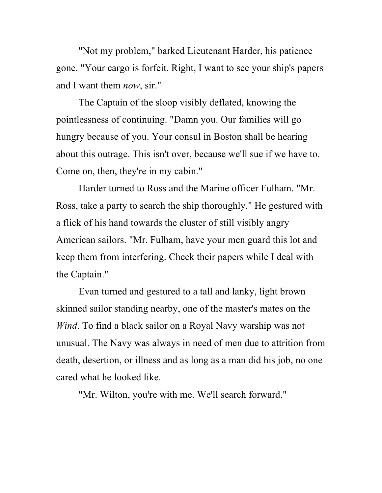"Not my problem," barked Lieutenant Harder, his patience gone. "Your cargo is forfeit. Right, I want to see your ship's papers and I want them *now*, sir."

The Captain of the sloop visibly deflated, knowing the pointlessness of continuing. "Damn you. Our families will go hungry because of you. Your consul in Boston shall be hearing about this outrage. This isn't over, because we'll sue if we have to. Come on, then, they're in my cabin."

Harder turned to Ross and the Marine officer Fulham. "Mr. Ross, take a party to search the ship thoroughly." He gestured with a flick of his hand towards the cluster of still visibly angry American sailors. "Mr. Fulham, have your men guard this lot and keep them from interfering. Check their papers while I deal with the Captain."

Evan turned and gestured to a tall and lanky, light brown skinned sailor standing nearby, one of the master's mates on the *Wind*. To find a black sailor on a Royal Navy warship was not unusual. The Navy was always in need of men due to attrition from death, desertion, or illness and as long as a man did his job, no one cared what he looked like.

"Mr. Wilton, you're with me. We'll search forward."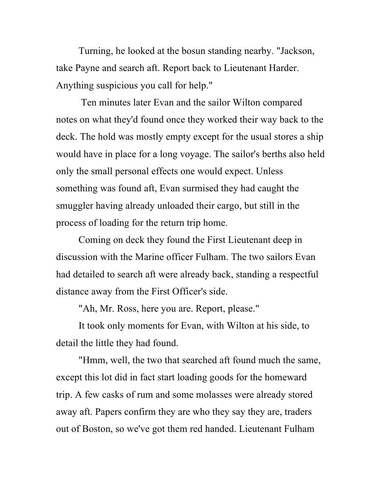Turning, he looked at the bosun standing nearby. "Jackson, take Payne and search aft. Report back to Lieutenant Harder. Anything suspicious you call for help."

Ten minutes later Evan and the sailor Wilton compared notes on what they'd found once they worked their way back to the deck. The hold was mostly empty except for the usual stores a ship would have in place for a long voyage. The sailor's berths also held only the small personal effects one would expect. Unless something was found aft, Evan surmised they had caught the smuggler having already unloaded their cargo, but still in the process of loading for the return trip home.

Coming on deck they found the First Lieutenant deep in discussion with the Marine officer Fulham. The two sailors Evan had detailed to search aft were already back, standing a respectful distance away from the First Officer's side.

"Ah, Mr. Ross, here you are. Report, please."

It took only moments for Evan, with Wilton at his side, to detail the little they had found.

"Hmm, well, the two that searched aft found much the same, except this lot did in fact start loading goods for the homeward trip. A few casks of rum and some molasses were already stored away aft. Papers confirm they are who they say they are, traders out of Boston, so we've got them red handed. Lieutenant Fulham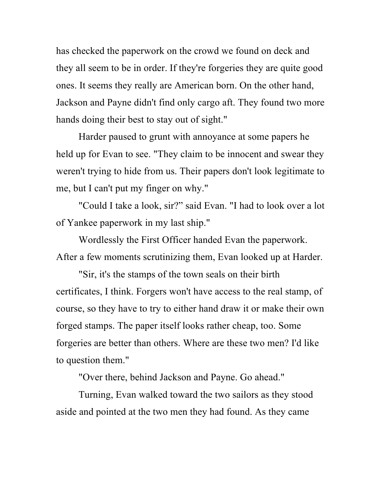has checked the paperwork on the crowd we found on deck and they all seem to be in order. If they're forgeries they are quite good ones. It seems they really are American born. On the other hand, Jackson and Payne didn't find only cargo aft. They found two more hands doing their best to stay out of sight."

Harder paused to grunt with annoyance at some papers he held up for Evan to see. "They claim to be innocent and swear they weren't trying to hide from us. Their papers don't look legitimate to me, but I can't put my finger on why."

"Could I take a look, sir?" said Evan. "I had to look over a lot of Yankee paperwork in my last ship."

Wordlessly the First Officer handed Evan the paperwork. After a few moments scrutinizing them, Evan looked up at Harder.

"Sir, it's the stamps of the town seals on their birth certificates, I think. Forgers won't have access to the real stamp, of course, so they have to try to either hand draw it or make their own forged stamps. The paper itself looks rather cheap, too. Some forgeries are better than others. Where are these two men? I'd like to question them."

"Over there, behind Jackson and Payne. Go ahead."

Turning, Evan walked toward the two sailors as they stood aside and pointed at the two men they had found. As they came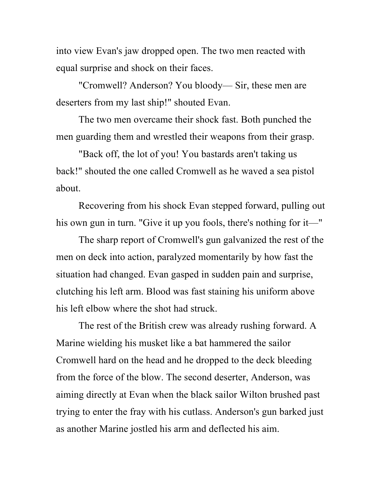into view Evan's jaw dropped open. The two men reacted with equal surprise and shock on their faces.

"Cromwell? Anderson? You bloody— Sir, these men are deserters from my last ship!" shouted Evan.

The two men overcame their shock fast. Both punched the men guarding them and wrestled their weapons from their grasp.

"Back off, the lot of you! You bastards aren't taking us back!" shouted the one called Cromwell as he waved a sea pistol about.

Recovering from his shock Evan stepped forward, pulling out his own gun in turn. "Give it up you fools, there's nothing for it—"

The sharp report of Cromwell's gun galvanized the rest of the men on deck into action, paralyzed momentarily by how fast the situation had changed. Evan gasped in sudden pain and surprise, clutching his left arm. Blood was fast staining his uniform above his left elbow where the shot had struck.

The rest of the British crew was already rushing forward. A Marine wielding his musket like a bat hammered the sailor Cromwell hard on the head and he dropped to the deck bleeding from the force of the blow. The second deserter, Anderson, was aiming directly at Evan when the black sailor Wilton brushed past trying to enter the fray with his cutlass. Anderson's gun barked just as another Marine jostled his arm and deflected his aim.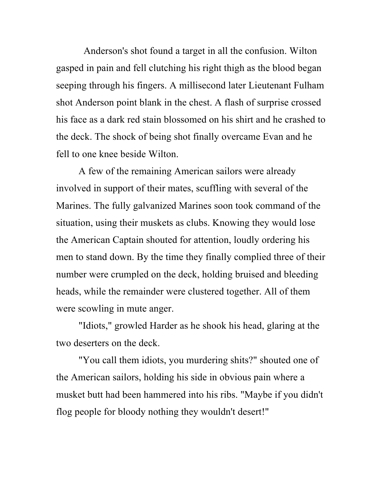Anderson's shot found a target in all the confusion. Wilton gasped in pain and fell clutching his right thigh as the blood began seeping through his fingers. A millisecond later Lieutenant Fulham shot Anderson point blank in the chest. A flash of surprise crossed his face as a dark red stain blossomed on his shirt and he crashed to the deck. The shock of being shot finally overcame Evan and he fell to one knee beside Wilton.

A few of the remaining American sailors were already involved in support of their mates, scuffling with several of the Marines. The fully galvanized Marines soon took command of the situation, using their muskets as clubs. Knowing they would lose the American Captain shouted for attention, loudly ordering his men to stand down. By the time they finally complied three of their number were crumpled on the deck, holding bruised and bleeding heads, while the remainder were clustered together. All of them were scowling in mute anger.

"Idiots," growled Harder as he shook his head, glaring at the two deserters on the deck.

"You call them idiots, you murdering shits?" shouted one of the American sailors, holding his side in obvious pain where a musket butt had been hammered into his ribs. "Maybe if you didn't flog people for bloody nothing they wouldn't desert!"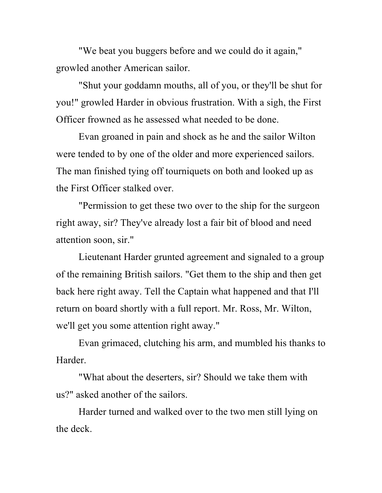"We beat you buggers before and we could do it again," growled another American sailor.

"Shut your goddamn mouths, all of you, or they'll be shut for you!" growled Harder in obvious frustration. With a sigh, the First Officer frowned as he assessed what needed to be done.

Evan groaned in pain and shock as he and the sailor Wilton were tended to by one of the older and more experienced sailors. The man finished tying off tourniquets on both and looked up as the First Officer stalked over.

"Permission to get these two over to the ship for the surgeon right away, sir? They've already lost a fair bit of blood and need attention soon, sir."

Lieutenant Harder grunted agreement and signaled to a group of the remaining British sailors. "Get them to the ship and then get back here right away. Tell the Captain what happened and that I'll return on board shortly with a full report. Mr. Ross, Mr. Wilton, we'll get you some attention right away."

Evan grimaced, clutching his arm, and mumbled his thanks to Harder.

"What about the deserters, sir? Should we take them with us?" asked another of the sailors.

Harder turned and walked over to the two men still lying on the deck.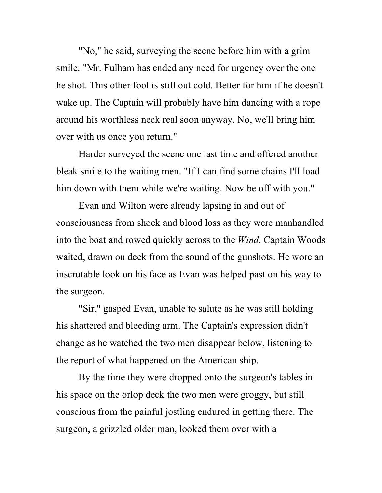"No," he said, surveying the scene before him with a grim smile. "Mr. Fulham has ended any need for urgency over the one he shot. This other fool is still out cold. Better for him if he doesn't wake up. The Captain will probably have him dancing with a rope around his worthless neck real soon anyway. No, we'll bring him over with us once you return."

Harder surveyed the scene one last time and offered another bleak smile to the waiting men. "If I can find some chains I'll load him down with them while we're waiting. Now be off with you."

Evan and Wilton were already lapsing in and out of consciousness from shock and blood loss as they were manhandled into the boat and rowed quickly across to the *Wind*. Captain Woods waited, drawn on deck from the sound of the gunshots. He wore an inscrutable look on his face as Evan was helped past on his way to the surgeon.

"Sir," gasped Evan, unable to salute as he was still holding his shattered and bleeding arm. The Captain's expression didn't change as he watched the two men disappear below, listening to the report of what happened on the American ship.

By the time they were dropped onto the surgeon's tables in his space on the orlop deck the two men were groggy, but still conscious from the painful jostling endured in getting there. The surgeon, a grizzled older man, looked them over with a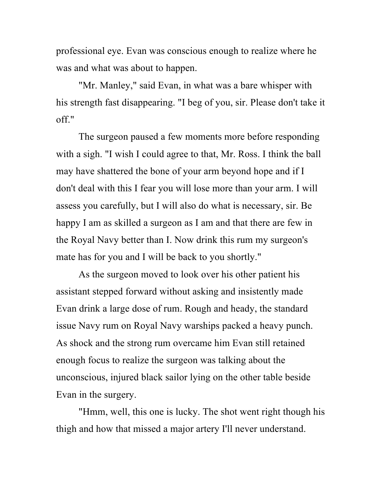professional eye. Evan was conscious enough to realize where he was and what was about to happen.

"Mr. Manley," said Evan, in what was a bare whisper with his strength fast disappearing. "I beg of you, sir. Please don't take it off."

The surgeon paused a few moments more before responding with a sigh. "I wish I could agree to that, Mr. Ross. I think the ball may have shattered the bone of your arm beyond hope and if I don't deal with this I fear you will lose more than your arm. I will assess you carefully, but I will also do what is necessary, sir. Be happy I am as skilled a surgeon as I am and that there are few in the Royal Navy better than I. Now drink this rum my surgeon's mate has for you and I will be back to you shortly."

As the surgeon moved to look over his other patient his assistant stepped forward without asking and insistently made Evan drink a large dose of rum. Rough and heady, the standard issue Navy rum on Royal Navy warships packed a heavy punch. As shock and the strong rum overcame him Evan still retained enough focus to realize the surgeon was talking about the unconscious, injured black sailor lying on the other table beside Evan in the surgery.

"Hmm, well, this one is lucky. The shot went right though his thigh and how that missed a major artery I'll never understand.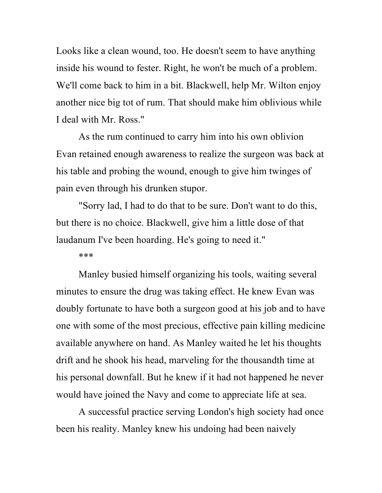Looks like a clean wound, too. He doesn't seem to have anything inside his wound to fester. Right, he won't be much of a problem. We'll come back to him in a bit. Blackwell, help Mr. Wilton enjoy another nice big tot of rum. That should make him oblivious while I deal with Mr. Ross."

As the rum continued to carry him into his own oblivion Evan retained enough awareness to realize the surgeon was back at his table and probing the wound, enough to give him twinges of pain even through his drunken stupor.

"Sorry lad, I had to do that to be sure. Don't want to do this, but there is no choice. Blackwell, give him a little dose of that laudanum I've been hoarding. He's going to need it."

\*\*\*

Manley busied himself organizing his tools, waiting several minutes to ensure the drug was taking effect. He knew Evan was doubly fortunate to have both a surgeon good at his job and to have one with some of the most precious, effective pain killing medicine available anywhere on hand. As Manley waited he let his thoughts drift and he shook his head, marveling for the thousandth time at his personal downfall. But he knew if it had not happened he never would have joined the Navy and come to appreciate life at sea.

A successful practice serving London's high society had once been his reality. Manley knew his undoing had been naively